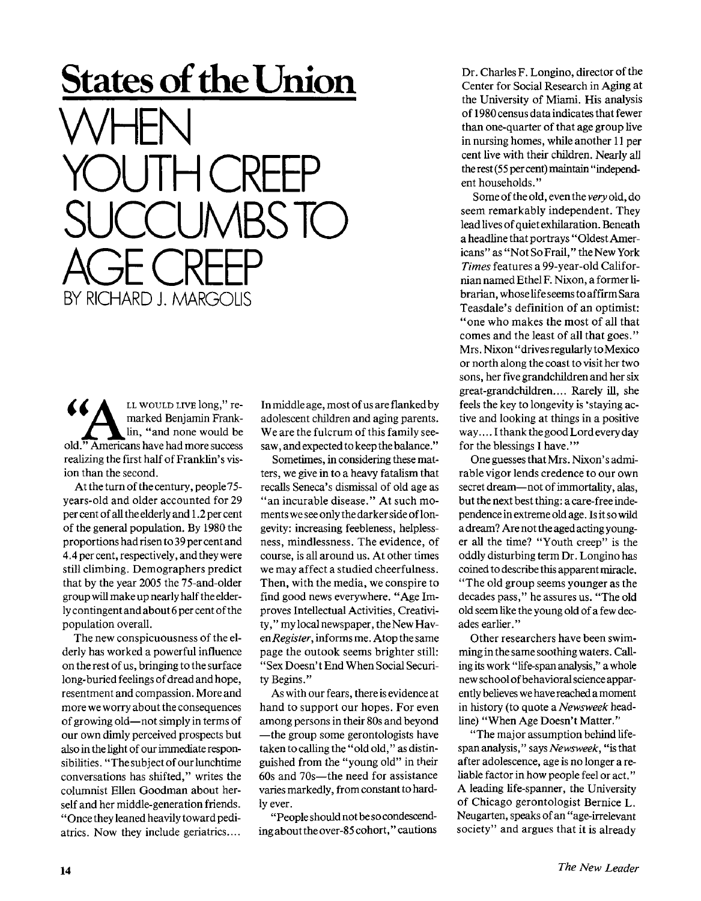## **States of the Union**

WHEN YOUTH CREEP SUCCUMBS TO AOE CREEP BY RICHARD J. MARGOLIS

LL WOULD LIVE long," remarked Benjamin Franklin, "and none would be old." Americans have had more success realizing the first half of Franklin's vision than the second.

At the turn of the century, people 75 years-old and older accounted for 29 per cent of all the elderly and 1.2 per cent of the general population. By 1980 the proportions had risen to 39 per cent and 4.4 per cent, respectively, and they were still climbing. Demographers predict that by the year 2005 the 75-and-older group will make up nearly half the elderly contingent and about 6 per cent of the population overall.

The new conspicuousness of the elderly has worked a powerful influence on the rest of us, bringing to the surface long-buried feelings of dread and hope, resentment and compassion. More and more we worry about the consequences of growing old—not simply in terms of our own dimly perceived prospects but also in the light of our immediate responsibilities. "The subject of our lunchtime conversations has shifted," writes the columnist Ellen Goodman about herself and her middle-generation friends. " Once they leaned heavily toward pediatrics. Now they include geriatrics....

In middle age, most of us are flanked by adolescent children and aging parents. We are the fulcrum of this family seesaw, and expected to keep the balance."

Sometimes, in considering these matters, we give in to a heavy fatalism that recalls Seneca's dismissal of old age as "an incurable disease." At such moments we see only the darker side of longevity: increasing feebleness, helplessness, mindlessness. The evidence, of course, is all around us. At other times we may affect a studied cheerfulness. Then, with the media, we conspire to find good news everywhere. "Age Improves Intellectual Activities, Creativity," my local newspaper, the New Haven *Register,* informs me. Atop the same page the outook seems brighter still: "Sex Doesn't End When Social Security Begins."

As with our fears, there is evidence at hand to support our hopes. For even among persons in their 80s and beyond —the group some gerontologists have taken to calling the "old old," as distinguished from the "young old" in their 60s and 70s—the need for assistance varies markedly, from constant to hardly ever.

"People should not be so condescending about the over-85 cohort," cautions

Dr. Charles F. Longino, director of the Center for Social Research in Aging at the University of Miami. His analysis of 1980 census data indicates that fewer than one-quarter of that age group live in nursing homes, while another 11 per cent live with their children. Nearly all the rest (55 per cent) maintain "independent households."

Some of the old, even the *very* old, do seem remarkably independent. They lead lives of quiet exhilaration. Beneath a headline that portrays "OldestAmericans" as "Not So Frail," the New York *Times* features a 99-year-old Californian named Ethel F. Nixon, a former librarian, whose life seems to affirm Sara Teasdale's definition of an optimist: "one who makes the most of all that comes and the least of all that goes." Mrs. Nixon'' drives regularly to Mexico or north along the coast to visit her two sons, her five grandchildren and her six great-grandchildren.... Rarely ill, she feels the key to longevity is 'staying active and looking at things in a positive way.... I thank the good Lord every day for the blessings I have.'"

One guesses that Mrs. Nixon's admirable vigor lends credence to our own secret dream—not of immortality, alas, but the next best thing: a care-free independence in extreme old age. Is it so wild a dream? Are not the aged acting younger all the time? "Youth creep" is the oddly disturbing term Dr. Longino has coined to describe this apparent miracle. "The old group seems younger as the decades pass," he assures us. "The old old seem like the young old of a few decades earlier."

Other researchers have been swimming in the same soothing waters. Calling its work "life-span analysis," a whole new school of behavioral science apparently believes we have reached a moment in history (to quote a *Newsweek* headline) "When Age Doesn't Matter."

"The major assumption behind lifespan analysis," *says, Newsweek,* "is that after adolescence, age is no longer a reliable factor in how people feel or act." A leading life-spanner, the University of Chicago gerontologist Bernice L. Neugarten, speaks of an "age-irrelevant society" and argues that it is already